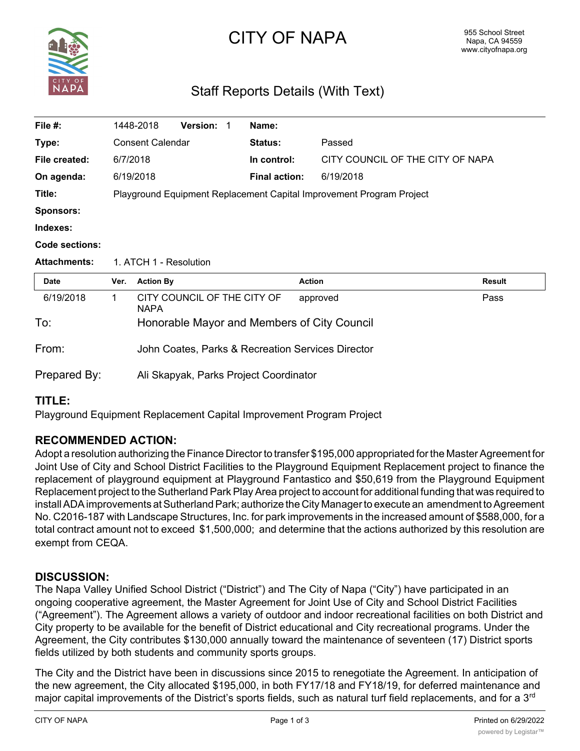

# CITY OF NAPA

# Staff Reports Details (With Text)

| File $#$ :          |                                                                      | 1448-2018               | <b>Version:</b>             | -1 | Name:                |                                                   |               |
|---------------------|----------------------------------------------------------------------|-------------------------|-----------------------------|----|----------------------|---------------------------------------------------|---------------|
| Type:               |                                                                      | <b>Consent Calendar</b> |                             |    | Status:              | Passed                                            |               |
| File created:       | 6/7/2018                                                             |                         |                             |    | In control:          | CITY COUNCIL OF THE CITY OF NAPA                  |               |
| On agenda:          |                                                                      | 6/19/2018               |                             |    | <b>Final action:</b> | 6/19/2018                                         |               |
| Title:              | Playground Equipment Replacement Capital Improvement Program Project |                         |                             |    |                      |                                                   |               |
| <b>Sponsors:</b>    |                                                                      |                         |                             |    |                      |                                                   |               |
| Indexes:            |                                                                      |                         |                             |    |                      |                                                   |               |
| Code sections:      |                                                                      |                         |                             |    |                      |                                                   |               |
|                     |                                                                      |                         |                             |    |                      |                                                   |               |
| <b>Attachments:</b> |                                                                      | 1. ATCH 1 - Resolution  |                             |    |                      |                                                   |               |
| <b>Date</b>         | Ver.                                                                 | <b>Action By</b>        |                             |    |                      | <b>Action</b>                                     | <b>Result</b> |
| 6/19/2018           | 1                                                                    | <b>NAPA</b>             | CITY COUNCIL OF THE CITY OF |    |                      | approved                                          | Pass          |
| To:                 |                                                                      |                         |                             |    |                      | Honorable Mayor and Members of City Council       |               |
| From:               |                                                                      |                         |                             |    |                      | John Coates, Parks & Recreation Services Director |               |

# **TITLE:**

Playground Equipment Replacement Capital Improvement Program Project

# **RECOMMENDED ACTION:**

Adopt a resolution authorizing the Finance Director to transfer \$195,000 appropriated for the Master Agreement for Joint Use of City and School District Facilities to the Playground Equipment Replacement project to finance the replacement of playground equipment at Playground Fantastico and \$50,619 from the Playground Equipment Replacement project to the Sutherland Park Play Area project to account for additional funding that was required to install ADA improvements at Sutherland Park; authorize the City Manager to execute an amendment to Agreement No. C2016-187 with Landscape Structures, Inc. for park improvements in the increased amount of \$588,000, for a total contract amount not to exceed \$1,500,000; and determine that the actions authorized by this resolution are exempt from CEQA.

# **DISCUSSION:**

The Napa Valley Unified School District ("District") and The City of Napa ("City") have participated in an ongoing cooperative agreement, the Master Agreement for Joint Use of City and School District Facilities ("Agreement"). The Agreement allows a variety of outdoor and indoor recreational facilities on both District and City property to be available for the benefit of District educational and City recreational programs. Under the Agreement, the City contributes \$130,000 annually toward the maintenance of seventeen (17) District sports fields utilized by both students and community sports groups.

The City and the District have been in discussions since 2015 to renegotiate the Agreement. In anticipation of the new agreement, the City allocated \$195,000, in both FY17/18 and FY18/19, for deferred maintenance and major capital improvements of the District's sports fields, such as natural turf field replacements, and for a 3<sup>rd</sup>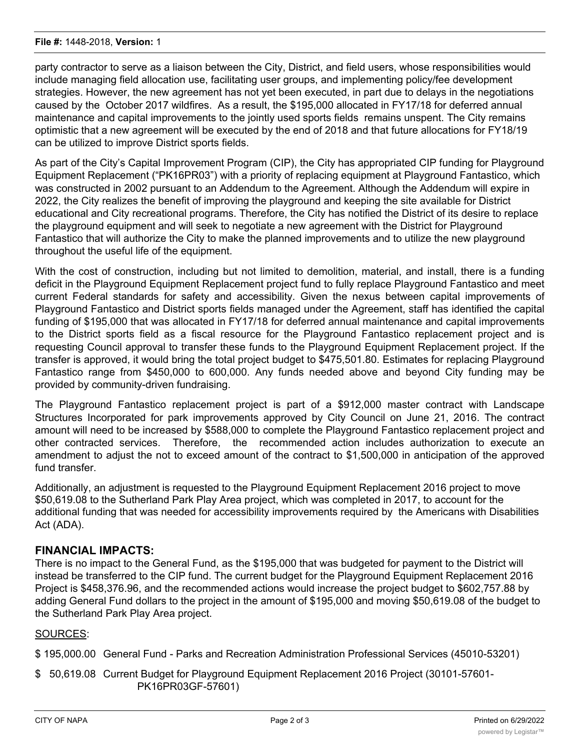party contractor to serve as a liaison between the City, District, and field users, whose responsibilities would include managing field allocation use, facilitating user groups, and implementing policy/fee development strategies. However, the new agreement has not yet been executed, in part due to delays in the negotiations caused by the October 2017 wildfires. As a result, the \$195,000 allocated in FY17/18 for deferred annual maintenance and capital improvements to the jointly used sports fields remains unspent. The City remains optimistic that a new agreement will be executed by the end of 2018 and that future allocations for FY18/19 can be utilized to improve District sports fields.

As part of the City's Capital Improvement Program (CIP), the City has appropriated CIP funding for Playground Equipment Replacement ("PK16PR03") with a priority of replacing equipment at Playground Fantastico, which was constructed in 2002 pursuant to an Addendum to the Agreement. Although the Addendum will expire in 2022, the City realizes the benefit of improving the playground and keeping the site available for District educational and City recreational programs. Therefore, the City has notified the District of its desire to replace the playground equipment and will seek to negotiate a new agreement with the District for Playground Fantastico that will authorize the City to make the planned improvements and to utilize the new playground throughout the useful life of the equipment.

With the cost of construction, including but not limited to demolition, material, and install, there is a funding deficit in the Playground Equipment Replacement project fund to fully replace Playground Fantastico and meet current Federal standards for safety and accessibility. Given the nexus between capital improvements of Playground Fantastico and District sports fields managed under the Agreement, staff has identified the capital funding of \$195,000 that was allocated in FY17/18 for deferred annual maintenance and capital improvements to the District sports field as a fiscal resource for the Playground Fantastico replacement project and is requesting Council approval to transfer these funds to the Playground Equipment Replacement project. If the transfer is approved, it would bring the total project budget to \$475,501.80. Estimates for replacing Playground Fantastico range from \$450,000 to 600,000. Any funds needed above and beyond City funding may be provided by community-driven fundraising.

The Playground Fantastico replacement project is part of a \$912,000 master contract with Landscape Structures Incorporated for park improvements approved by City Council on June 21, 2016. The contract amount will need to be increased by \$588,000 to complete the Playground Fantastico replacement project and other contracted services. Therefore, the recommended action includes authorization to execute an amendment to adjust the not to exceed amount of the contract to \$1,500,000 in anticipation of the approved fund transfer.

Additionally, an adjustment is requested to the Playground Equipment Replacement 2016 project to move \$50,619.08 to the Sutherland Park Play Area project, which was completed in 2017, to account for the additional funding that was needed for accessibility improvements required by the Americans with Disabilities Act (ADA).

# **FINANCIAL IMPACTS:**

There is no impact to the General Fund, as the \$195,000 that was budgeted for payment to the District will instead be transferred to the CIP fund. The current budget for the Playground Equipment Replacement 2016 Project is \$458,376.96, and the recommended actions would increase the project budget to \$602,757.88 by adding General Fund dollars to the project in the amount of \$195,000 and moving \$50,619.08 of the budget to the Sutherland Park Play Area project.

#### SOURCES:

\$ 195,000.00 General Fund - Parks and Recreation Administration Professional Services (45010-53201)

\$ 50,619.08 Current Budget for Playground Equipment Replacement 2016 Project (30101-57601- PK16PR03GF-57601)